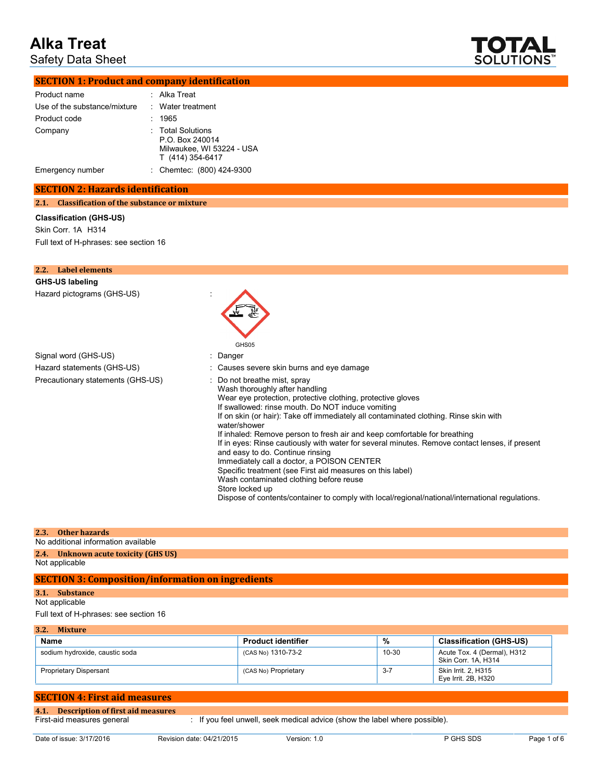Safety Data Sheet



| <b>SECTION 1: Product and company identification</b> |
|------------------------------------------------------|
|------------------------------------------------------|

| Product name                 | : Alka Treat                                                                          |
|------------------------------|---------------------------------------------------------------------------------------|
| Use of the substance/mixture | : Water treatment                                                                     |
| Product code                 | 1965                                                                                  |
| Company                      | : Total Solutions<br>P.O. Box 240014<br>Milwaukee, WI 53224 - USA<br>T (414) 354-6417 |
| Emergency number             | : Chemtec: (800) 424-9300                                                             |

## **SECTION 2: Hazards identification**

**2.1. Classification of the substance or mixture**

### **Classification (GHS-US)**

Skin Corr. 1A H314 Full text of H-phrases: see section 16

| Label elements<br>2.2.            |                                                                                                                                                                                                                                                                                                                                                                                                                                                                                                                                                                                                                                                                                                                                                                                            |
|-----------------------------------|--------------------------------------------------------------------------------------------------------------------------------------------------------------------------------------------------------------------------------------------------------------------------------------------------------------------------------------------------------------------------------------------------------------------------------------------------------------------------------------------------------------------------------------------------------------------------------------------------------------------------------------------------------------------------------------------------------------------------------------------------------------------------------------------|
| GHS-US labeling                   |                                                                                                                                                                                                                                                                                                                                                                                                                                                                                                                                                                                                                                                                                                                                                                                            |
| Hazard pictograms (GHS-US)        | GHS05                                                                                                                                                                                                                                                                                                                                                                                                                                                                                                                                                                                                                                                                                                                                                                                      |
| Signal word (GHS-US)              | : Danger                                                                                                                                                                                                                                                                                                                                                                                                                                                                                                                                                                                                                                                                                                                                                                                   |
| Hazard statements (GHS-US)        | : Causes severe skin burns and eye damage                                                                                                                                                                                                                                                                                                                                                                                                                                                                                                                                                                                                                                                                                                                                                  |
| Precautionary statements (GHS-US) | : Do not breathe mist, spray<br>Wash thoroughly after handling<br>Wear eye protection, protective clothing, protective gloves<br>If swallowed: rinse mouth. Do NOT induce vomiting<br>If on skin (or hair): Take off immediately all contaminated clothing. Rinse skin with<br>water/shower<br>If inhaled: Remove person to fresh air and keep comfortable for breathing<br>If in eyes: Rinse cautiously with water for several minutes. Remove contact lenses, if present<br>and easy to do. Continue rinsing<br>Immediately call a doctor, a POISON CENTER<br>Specific treatment (see First aid measures on this label)<br>Wash contaminated clothing before reuse<br>Store locked up<br>Dispose of contents/container to comply with local/regional/national/international regulations. |

#### **2.3. Other hazards**

No additional information available

## **2.4. Unknown acute toxicity (GHS US)**

Not applicable

# **SECTION 3: Composition/information on ingredients**

# **3.1. Substance**

Not applicable Full text of H-phrases: see section 16

**3.2. Mixture Name Product identifier 19.12 Classification (GHS-US) Product identifier 19.12 Classification (GHS-US)** sodium hydroxide, caustic soda (CAS No) 1310-73-2 10-30 Acute Tox. 4 (Dermal), H312 Skin Corr. 1A, H314 Proprietary Dispersant CAS No) Proprietary 3-7 Skin Irrit. 2, H315 Eye Irrit. 2B, H320

# **SECTION 4: First aid measures**

| 4.1. Description of first aid measures |                                                                          |
|----------------------------------------|--------------------------------------------------------------------------|
| First-aid measures general             | If you feel unwell, seek medical advice (show the label where possible). |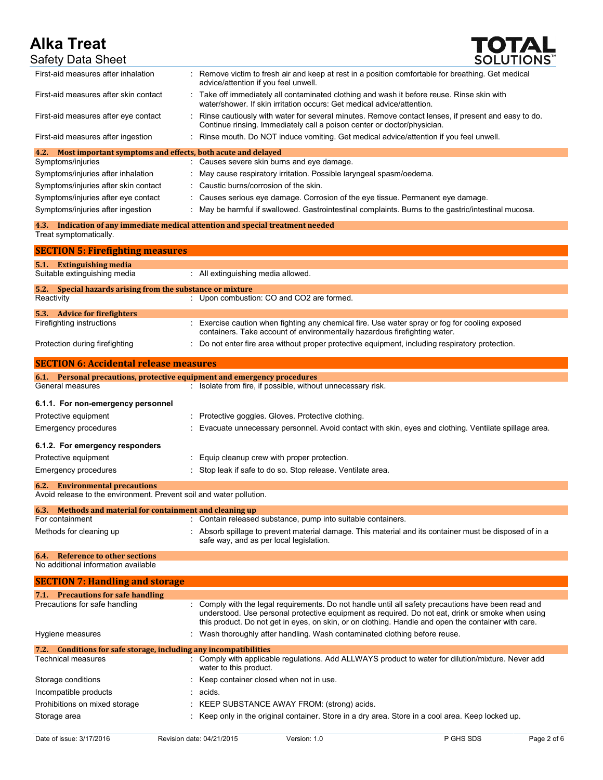

| <b>Alka Treat</b>                                                                                            | <b>TOTAL</b>                                                                                                                                                                                                                                                                                                 |
|--------------------------------------------------------------------------------------------------------------|--------------------------------------------------------------------------------------------------------------------------------------------------------------------------------------------------------------------------------------------------------------------------------------------------------------|
| <b>Safety Data Sheet</b>                                                                                     | <b>SOLUTIONS</b>                                                                                                                                                                                                                                                                                             |
| First-aid measures after inhalation                                                                          | : Remove victim to fresh air and keep at rest in a position comfortable for breathing. Get medical<br>advice/attention if you feel unwell.                                                                                                                                                                   |
| First-aid measures after skin contact                                                                        | : Take off immediately all contaminated clothing and wash it before reuse. Rinse skin with<br>water/shower. If skin irritation occurs: Get medical advice/attention.                                                                                                                                         |
| First-aid measures after eye contact                                                                         | : Rinse cautiously with water for several minutes. Remove contact lenses, if present and easy to do.<br>Continue rinsing. Immediately call a poison center or doctor/physician.                                                                                                                              |
| First-aid measures after ingestion                                                                           | Rinse mouth. Do NOT induce vomiting. Get medical advice/attention if you feel unwell.<br>÷.                                                                                                                                                                                                                  |
| 4.2.<br>Most important symptoms and effects, both acute and delayed                                          |                                                                                                                                                                                                                                                                                                              |
| Symptoms/injuries                                                                                            | : Causes severe skin burns and eye damage.                                                                                                                                                                                                                                                                   |
| Symptoms/injuries after inhalation                                                                           | : May cause respiratory irritation. Possible laryngeal spasm/oedema.<br>: Caustic burns/corrosion of the skin.                                                                                                                                                                                               |
| Symptoms/injuries after skin contact<br>Symptoms/injuries after eye contact                                  | Causes serious eye damage. Corrosion of the eye tissue. Permanent eye damage.                                                                                                                                                                                                                                |
| Symptoms/injuries after ingestion                                                                            | : May be harmful if swallowed. Gastrointestinal complaints. Burns to the gastric/intestinal mucosa.                                                                                                                                                                                                          |
|                                                                                                              | 4.3. Indication of any immediate medical attention and special treatment needed                                                                                                                                                                                                                              |
| Treat symptomatically.                                                                                       |                                                                                                                                                                                                                                                                                                              |
| <b>SECTION 5: Firefighting measures</b>                                                                      |                                                                                                                                                                                                                                                                                                              |
| 5.1. Extinguishing media<br>Suitable extinguishing media                                                     | : All extinguishing media allowed.                                                                                                                                                                                                                                                                           |
| 5.2.<br>Special hazards arising from the substance or mixture                                                |                                                                                                                                                                                                                                                                                                              |
| Reactivity                                                                                                   | : Upon combustion: CO and CO2 are formed.                                                                                                                                                                                                                                                                    |
| 5.3. Advice for firefighters<br>Firefighting instructions                                                    | : Exercise caution when fighting any chemical fire. Use water spray or fog for cooling exposed                                                                                                                                                                                                               |
|                                                                                                              | containers. Take account of environmentally hazardous firefighting water.                                                                                                                                                                                                                                    |
| Protection during firefighting                                                                               | Do not enter fire area without proper protective equipment, including respiratory protection.                                                                                                                                                                                                                |
| <b>SECTION 6: Accidental release measures</b>                                                                |                                                                                                                                                                                                                                                                                                              |
| 6.1. Personal precautions, protective equipment and emergency procedures                                     |                                                                                                                                                                                                                                                                                                              |
| General measures                                                                                             | : Isolate from fire, if possible, without unnecessary risk.                                                                                                                                                                                                                                                  |
| 6.1.1. For non-emergency personnel                                                                           |                                                                                                                                                                                                                                                                                                              |
| Protective equipment                                                                                         | : Protective goggles. Gloves. Protective clothing.                                                                                                                                                                                                                                                           |
| <b>Emergency procedures</b>                                                                                  | Evacuate unnecessary personnel. Avoid contact with skin, eyes and clothing. Ventilate spillage area.                                                                                                                                                                                                         |
| 6.1.2. For emergency responders                                                                              |                                                                                                                                                                                                                                                                                                              |
| Protective equipment                                                                                         | : Equip cleanup crew with proper protection.                                                                                                                                                                                                                                                                 |
| <b>Emergency procedures</b>                                                                                  | Stop leak if safe to do so. Stop release. Ventilate area.                                                                                                                                                                                                                                                    |
| <b>6.2.</b> Environmental precautions<br>Avoid release to the environment. Prevent soil and water pollution. |                                                                                                                                                                                                                                                                                                              |
| 6.3. Methods and material for containment and cleaning up                                                    |                                                                                                                                                                                                                                                                                                              |
| For containment                                                                                              | : Contain released substance, pump into suitable containers.                                                                                                                                                                                                                                                 |
| Methods for cleaning up                                                                                      | : Absorb spillage to prevent material damage. This material and its container must be disposed of in a<br>safe way, and as per local legislation.                                                                                                                                                            |
| <b>Reference to other sections</b><br>6.4.<br>No additional information available                            |                                                                                                                                                                                                                                                                                                              |
| <b>SECTION 7: Handling and storage</b>                                                                       |                                                                                                                                                                                                                                                                                                              |
| 7.1. Precautions for safe handling                                                                           |                                                                                                                                                                                                                                                                                                              |
| Precautions for safe handling                                                                                | Comply with the legal requirements. Do not handle until all safety precautions have been read and<br>understood. Use personal protective equipment as required. Do not eat, drink or smoke when using<br>this product. Do not get in eyes, on skin, or on clothing. Handle and open the container with care. |
| Hygiene measures                                                                                             | : Wash thoroughly after handling. Wash contaminated clothing before reuse.                                                                                                                                                                                                                                   |
| 7.2. Conditions for safe storage, including any incompatibilities                                            |                                                                                                                                                                                                                                                                                                              |
| <b>Technical measures</b>                                                                                    | : Comply with applicable regulations. Add ALLWAYS product to water for dilution/mixture. Never add<br>water to this product.                                                                                                                                                                                 |
| Storage conditions                                                                                           | Keep container closed when not in use.                                                                                                                                                                                                                                                                       |
| Incompatible products                                                                                        | acids.                                                                                                                                                                                                                                                                                                       |
| Prohibitions on mixed storage                                                                                | KEEP SUBSTANCE AWAY FROM: (strong) acids.                                                                                                                                                                                                                                                                    |

Storage area : Keep only in the original container. Store in a dry area. Store in a cool area. Keep locked up.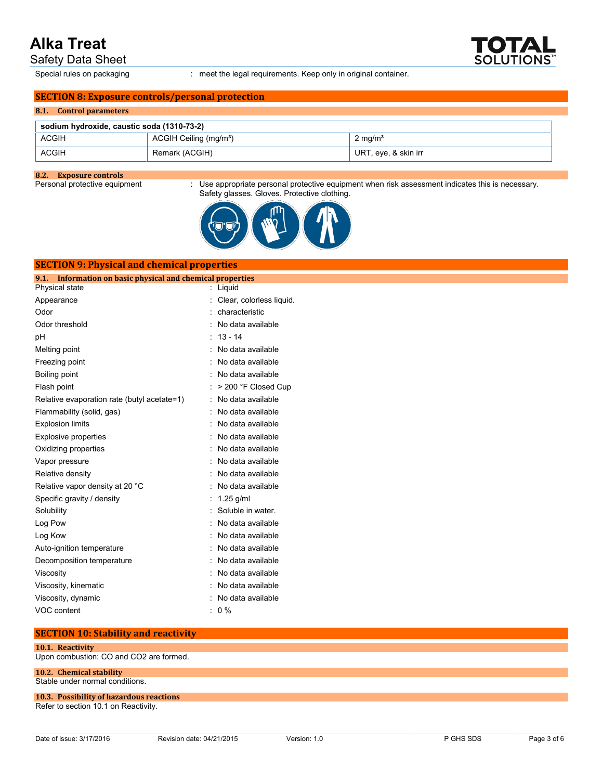Safety Data Sheet

Special rules on packaging : meet the legal requirements. Keep only in original container.

# **SECTION 8: Exposure controls/personal protection**

| 8.1. Control parameters                    |                                    |                      |  |  |
|--------------------------------------------|------------------------------------|----------------------|--|--|
| sodium hydroxide, caustic soda (1310-73-2) |                                    |                      |  |  |
| <b>ACGIH</b>                               | ACGIH Ceiling (mg/m <sup>3</sup> ) | $2 \text{ mg/m}^3$   |  |  |
| <b>ACGIH</b>                               | Remark (ACGIH)                     | URT, eye, & skin irr |  |  |

**8.2. Exposure controls**

 $\therefore$  Use appropriate personal protective equipment when risk assessment indicates this is necessary. Safety glasses. Gloves. Protective clothing.



| <b>SECTION 9: Physical and chemical properties</b>         |                          |  |  |  |  |
|------------------------------------------------------------|--------------------------|--|--|--|--|
| 9.1. Information on basic physical and chemical properties |                          |  |  |  |  |
| Physical state                                             | : Liquid                 |  |  |  |  |
| Appearance                                                 | Clear, colorless liquid. |  |  |  |  |
| Odor                                                       | characteristic           |  |  |  |  |
| Odor threshold                                             | No data available        |  |  |  |  |
| рH                                                         | $13 - 14$                |  |  |  |  |
| Melting point                                              | No data available        |  |  |  |  |
| Freezing point                                             | No data available        |  |  |  |  |
| Boiling point                                              | No data available        |  |  |  |  |
| Flash point                                                | > 200 °F Closed Cup      |  |  |  |  |
| Relative evaporation rate (butyl acetate=1)                | No data available        |  |  |  |  |
| Flammability (solid, gas)                                  | No data available        |  |  |  |  |
| <b>Explosion limits</b>                                    | No data available        |  |  |  |  |
| Explosive properties                                       | No data available        |  |  |  |  |
| Oxidizing properties                                       | No data available        |  |  |  |  |
| Vapor pressure                                             | No data available        |  |  |  |  |
| Relative density                                           | No data available        |  |  |  |  |
| Relative vapor density at 20 °C                            | No data available        |  |  |  |  |
| Specific gravity / density                                 | $1.25$ g/ml              |  |  |  |  |
| Solubility                                                 | Soluble in water.        |  |  |  |  |
| Log Pow                                                    | No data available        |  |  |  |  |
| Log Kow                                                    | No data available        |  |  |  |  |
| Auto-ignition temperature                                  | No data available        |  |  |  |  |
| Decomposition temperature                                  | No data available        |  |  |  |  |
| Viscosity                                                  | No data available        |  |  |  |  |
| Viscosity, kinematic                                       | No data available        |  |  |  |  |
| Viscosity, dynamic                                         | No data available        |  |  |  |  |
| VOC content                                                | $0\%$                    |  |  |  |  |

# **SECTION 10: Stability and reactivity**

**10.1. Reactivity** Upon combustion: CO and CO2 are formed.

# **10.2. Chemical stability**

Stable under normal conditions.

## **10.3. Possibility of hazardous reactions** Refer to section 10.1 on Reactivity.

**SOLUTIONS**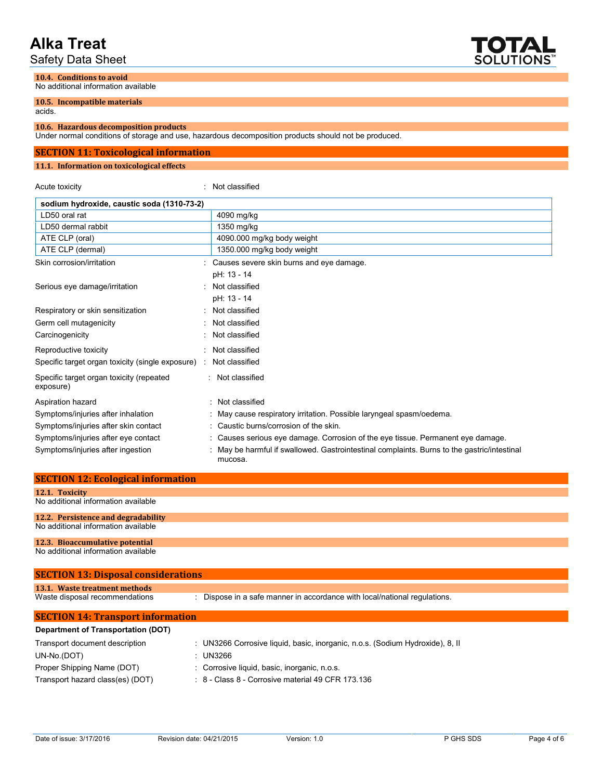Safety Data Sheet

**10.4. Conditions to avoid**



No additional information available

**10.5. Incompatible materials** acids.

## **10.6. Hazardous decomposition products**

Under normal conditions of storage and use, hazardous decomposition products should not be produced.

## **SECTION 11: Toxicological information**

## **11.1. Information on toxicological effects**

Acute toxicity **in the case of the CALIC CONTEX** and Acute toxicity **in the case of the case of the case of the case of the case of the case of the case of the case of the case of the case of the case of the case of the ca** 

| sodium hydroxide, caustic soda (1310-73-2)            |                                                                                                      |
|-------------------------------------------------------|------------------------------------------------------------------------------------------------------|
| LD50 oral rat                                         | 4090 mg/kg                                                                                           |
| LD50 dermal rabbit                                    | 1350 mg/kg                                                                                           |
| ATE CLP (oral)                                        | 4090.000 mg/kg body weight                                                                           |
| ATE CLP (dermal)                                      | 1350.000 mg/kg body weight                                                                           |
| Skin corrosion/irritation                             | Causes severe skin burns and eye damage.                                                             |
|                                                       | pH: 13 - 14                                                                                          |
| Serious eye damage/irritation                         | Not classified                                                                                       |
|                                                       | pH: 13 - 14                                                                                          |
| Respiratory or skin sensitization                     | Not classified                                                                                       |
| Germ cell mutagenicity                                | Not classified                                                                                       |
| Carcinogenicity                                       | Not classified                                                                                       |
| Reproductive toxicity                                 | Not classified                                                                                       |
| Specific target organ toxicity (single exposure) :    | Not classified                                                                                       |
| Specific target organ toxicity (repeated<br>exposure) | Not classified                                                                                       |
| Aspiration hazard                                     | Not classified                                                                                       |
| Symptoms/injuries after inhalation                    | May cause respiratory irritation. Possible laryngeal spasm/oedema.                                   |
| Symptoms/injuries after skin contact                  | Caustic burns/corrosion of the skin.                                                                 |
| Symptoms/injuries after eye contact                   | Causes serious eye damage. Corrosion of the eye tissue. Permanent eye damage.                        |
| Symptoms/injuries after ingestion                     | May be harmful if swallowed. Gastrointestinal complaints. Burns to the gastric/intestinal<br>mucosa. |

| <b>SECTION 12: Ecological information</b>        |                                                                                                     |
|--------------------------------------------------|-----------------------------------------------------------------------------------------------------|
| 12.1. Toxicity                                   |                                                                                                     |
| No additional information available              |                                                                                                     |
| 12.2. Persistence and degradability              |                                                                                                     |
| No additional information available              |                                                                                                     |
| 12.3. Bioaccumulative potential                  |                                                                                                     |
| No additional information available              |                                                                                                     |
| <b>SECTION 13: Disposal considerations</b>       |                                                                                                     |
| 13.1. Waste treatment methods                    |                                                                                                     |
| Waste disposal recommendations                   | : Dispose in a safe manner in accordance with local/national regulations.                           |
| <b>SECTION 14: Transport information</b>         |                                                                                                     |
| Department of Transportation (DOT)               |                                                                                                     |
| The company of the company of the control of the | $\sim$ 1 N10000 Osmanley Bardel Lands because to a set $\sqrt{2}$ different balanced at $\sim$ 0.11 |

| Transport document description   | UN3266 Corrosive liquid, basic, inorganic, n.o.s. (Sodium Hydroxide), 8, Il |
|----------------------------------|-----------------------------------------------------------------------------|
| UN-No.(DOT)                      | UN3266                                                                      |
| Proper Shipping Name (DOT)       | : Corrosive liquid, basic, inorganic, n.o.s.                                |
| Transport hazard class(es) (DOT) | $\div$ 8 - Class 8 - Corrosive material 49 CFR 173.136                      |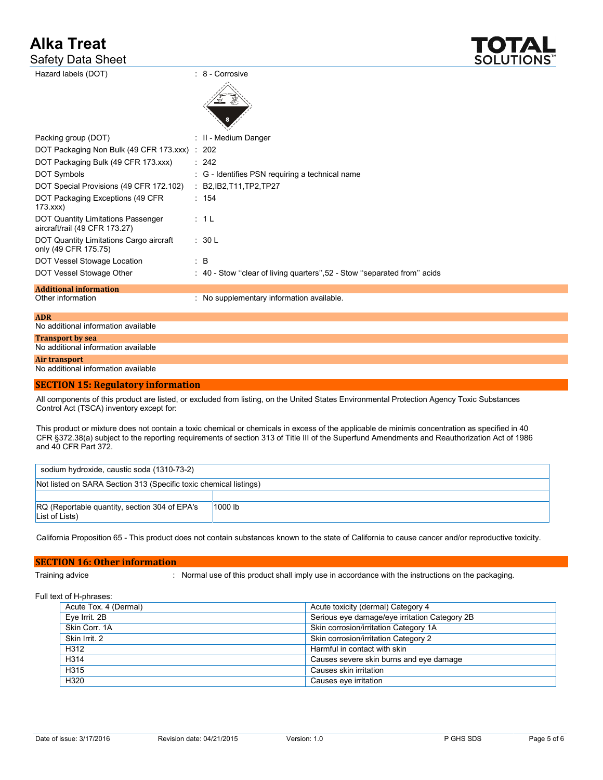Safety Data Sheet



| Hazard labels (DOT)                                                        | : 8 - Corrosive                                                                                                                            |
|----------------------------------------------------------------------------|--------------------------------------------------------------------------------------------------------------------------------------------|
|                                                                            |                                                                                                                                            |
| Packing group (DOT)                                                        | : II - Medium Danger                                                                                                                       |
| DOT Packaging Non Bulk (49 CFR 173 xxx) : 202                              |                                                                                                                                            |
| DOT Packaging Bulk (49 CFR 173.xxx)                                        | : 242                                                                                                                                      |
| <b>DOT Symbols</b>                                                         | : G - Identifies PSN requiring a technical name                                                                                            |
| DOT Special Provisions (49 CFR 172.102)                                    | : B2, IB2, T11, TP2, TP27                                                                                                                  |
| DOT Packaging Exceptions (49 CFR<br>173.xxx                                | : 154                                                                                                                                      |
| <b>DOT Quantity Limitations Passenger</b><br>aircraft/rail (49 CFR 173.27) | : 1L                                                                                                                                       |
| DOT Quantity Limitations Cargo aircraft<br>only (49 CFR 175.75)            | : 30 L                                                                                                                                     |
| DOT Vessel Stowage Location                                                | $\therefore$ B                                                                                                                             |
| DOT Vessel Stowage Other                                                   | : 40 - Stow "clear of living quarters", 52 - Stow "separated from" acids                                                                   |
| <b>Additional information</b>                                              |                                                                                                                                            |
| Other information                                                          | : No supplementary information available.                                                                                                  |
| <b>ADR</b>                                                                 |                                                                                                                                            |
| No additional information available                                        |                                                                                                                                            |
| <b>Transport by sea</b><br>No additional information available             |                                                                                                                                            |
| Air transport                                                              |                                                                                                                                            |
| No additional information available                                        |                                                                                                                                            |
| <b>SECTION 15: Regulatory information</b>                                  |                                                                                                                                            |
| Control Act (TSCA) inventory except for:                                   | All components of this product are listed, or excluded from listing, on the United States Environmental Protection Agency Toxic Substances |

This product or mixture does not contain a toxic chemical or chemicals in excess of the applicable de minimis concentration as specified in 40 CFR §372.38(a) subject to the reporting requirements of section 313 of Title III of the Superfund Amendments and Reauthorization Act of 1986 and 40 CFR Part 372.

| sodium hydroxide, caustic soda (1310-73-2)                        |         |  |
|-------------------------------------------------------------------|---------|--|
| Not listed on SARA Section 313 (Specific toxic chemical listings) |         |  |
|                                                                   |         |  |
| RQ (Reportable quantity, section 304 of EPA's<br>List of Lists)   | 1000 lb |  |

California Proposition 65 - This product does not contain substances known to the state of California to cause cancer and/or reproductive toxicity.

# **SECTION 16: Other information**

Training advice : Normal use of this product shall imply use in accordance with the instructions on the packaging.

Full text of H-phrases:

| Acute Tox. 4 (Dermal) | Acute toxicity (dermal) Category 4            |
|-----------------------|-----------------------------------------------|
| Eve Irrit. 2B         | Serious eye damage/eye irritation Category 2B |
| Skin Corr. 1A         | Skin corrosion/irritation Category 1A         |
| Skin Irrit, 2         | Skin corrosion/irritation Category 2          |
| H312                  | Harmful in contact with skin                  |
| H314                  | Causes severe skin burns and eye damage       |
| H315                  | Causes skin irritation                        |
| H320                  | Causes eye irritation                         |